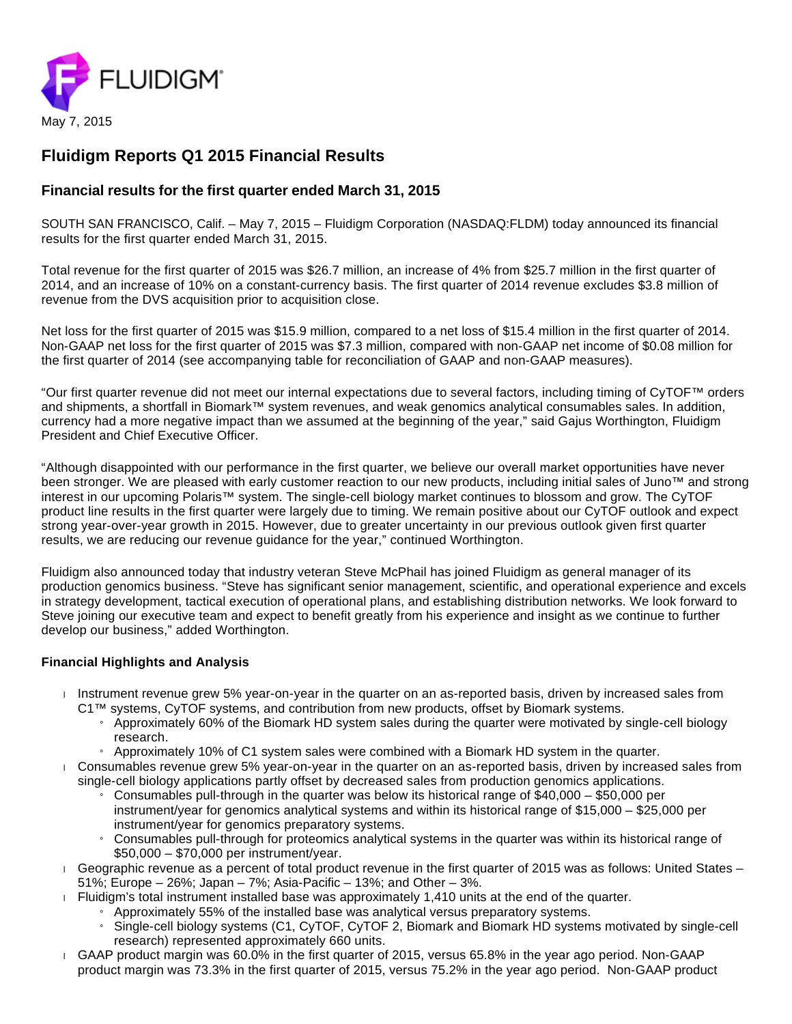

# **Fluidigm Reports Q1 2015 Financial Results**

## **Financial results for the first quarter ended March 31, 2015**

SOUTH SAN FRANCISCO, Calif. – May 7, 2015 – Fluidigm Corporation (NASDAQ:FLDM) today announced its financial results for the first quarter ended March 31, 2015.

Total revenue for the first quarter of 2015 was \$26.7 million, an increase of 4% from \$25.7 million in the first quarter of 2014, and an increase of 10% on a constant-currency basis. The first quarter of 2014 revenue excludes \$3.8 million of revenue from the DVS acquisition prior to acquisition close.

Net loss for the first quarter of 2015 was \$15.9 million, compared to a net loss of \$15.4 million in the first quarter of 2014. Non-GAAP net loss for the first quarter of 2015 was \$7.3 million, compared with non-GAAP net income of \$0.08 million for the first quarter of 2014 (see accompanying table for reconciliation of GAAP and non-GAAP measures).

"Our first quarter revenue did not meet our internal expectations due to several factors, including timing of CyTOF™ orders and shipments, a shortfall in Biomark™ system revenues, and weak genomics analytical consumables sales. In addition, currency had a more negative impact than we assumed at the beginning of the year," said Gajus Worthington, Fluidigm President and Chief Executive Officer.

"Although disappointed with our performance in the first quarter, we believe our overall market opportunities have never been stronger. We are pleased with early customer reaction to our new products, including initial sales of Juno™ and strong interest in our upcoming Polaris™ system. The single-cell biology market continues to blossom and grow. The CyTOF product line results in the first quarter were largely due to timing. We remain positive about our CyTOF outlook and expect strong year-over-year growth in 2015. However, due to greater uncertainty in our previous outlook given first quarter results, we are reducing our revenue guidance for the year," continued Worthington.

Fluidigm also announced today that industry veteran Steve McPhail has joined Fluidigm as general manager of its production genomics business. "Steve has significant senior management, scientific, and operational experience and excels in strategy development, tactical execution of operational plans, and establishing distribution networks. We look forward to Steve joining our executive team and expect to benefit greatly from his experience and insight as we continue to further develop our business," added Worthington.

## **Financial Highlights and Analysis**

- $\blacksquare$  Instrument revenue grew 5% year-on-year in the quarter on an as-reported basis, driven by increased sales from C1™ systems, CyTOF systems, and contribution from new products, offset by Biomark systems.
	- » Approximately 60% of the Biomark HD system sales during the quarter were motivated by single-cell biology research.
	- » Approximately 10% of C1 system sales were combined with a Biomark HD system in the quarter.
- Consumables revenue grew 5% year-on-year in the quarter on an as-reported basis, driven by increased sales from single-cell biology applications partly offset by decreased sales from production genomics applications.
	- » Consumables pull-through in the quarter was below its historical range of \$40,000 \$50,000 per instrument/year for genomics analytical systems and within its historical range of \$15,000 – \$25,000 per instrument/year for genomics preparatory systems.
	- » Consumables pull-through for proteomics analytical systems in the quarter was within its historical range of \$50,000 – \$70,000 per instrument/year.
- Geographic revenue as a percent of total product revenue in the first quarter of 2015 was as follows: United States -51%; Europe – 26%; Japan – 7%; Asia-Pacific – 13%; and Other – 3%.
- Fluidigm's total instrument installed base was approximately 1,410 units at the end of the quarter.
	- » Approximately 55% of the installed base was analytical versus preparatory systems.
	- » Single-cell biology systems (C1, CyTOF, CyTOF 2, Biomark and Biomark HD systems motivated by single-cell research) represented approximately 660 units.
- GAAP product margin was 60.0% in the first quarter of 2015, versus 65.8% in the year ago period. Non-GAAP product margin was 73.3% in the first quarter of 2015, versus 75.2% in the year ago period. Non-GAAP product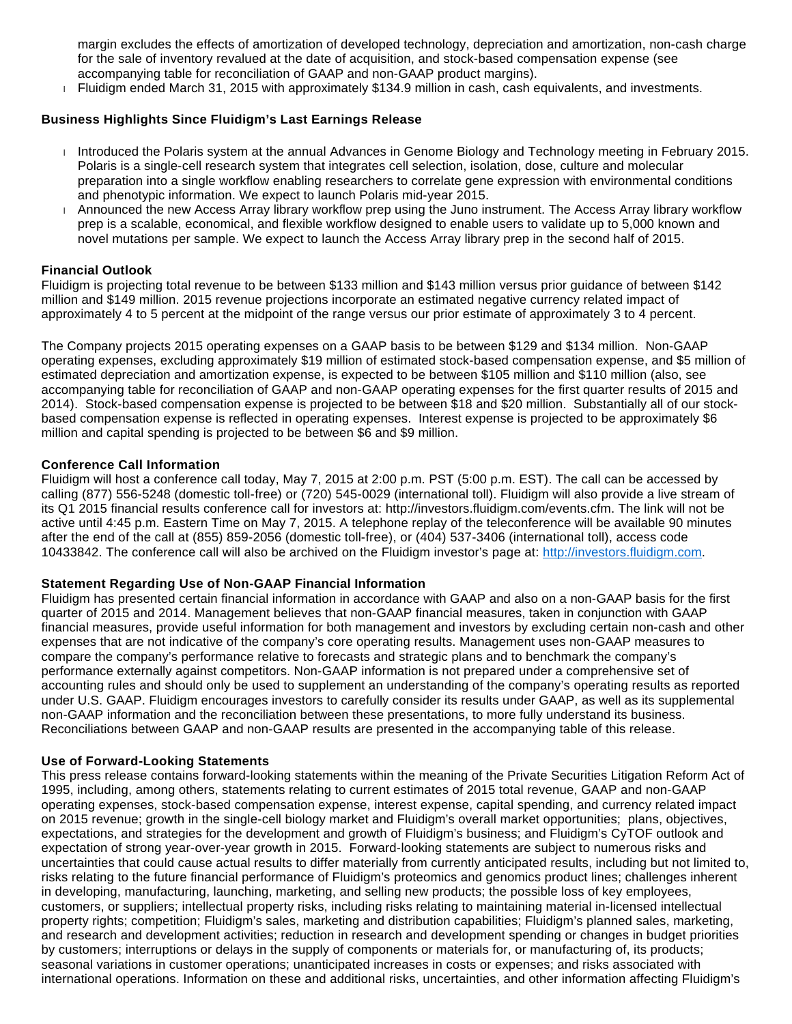margin excludes the effects of amortization of developed technology, depreciation and amortization, non-cash charge for the sale of inventory revalued at the date of acquisition, and stock-based compensation expense (see accompanying table for reconciliation of GAAP and non-GAAP product margins).

Fluidigm ended March 31, 2015 with approximately \$134.9 million in cash, cash equivalents, and investments.

## **Business Highlights Since Fluidigm's Last Earnings Release**

- Introduced the Polaris system at the annual Advances in Genome Biology and Technology meeting in February 2015. Polaris is a single-cell research system that integrates cell selection, isolation, dose, culture and molecular preparation into a single workflow enabling researchers to correlate gene expression with environmental conditions and phenotypic information. We expect to launch Polaris mid-year 2015.
- Announced the new Access Array library workflow prep using the Juno instrument. The Access Array library workflow prep is a scalable, economical, and flexible workflow designed to enable users to validate up to 5,000 known and novel mutations per sample. We expect to launch the Access Array library prep in the second half of 2015.

## **Financial Outlook**

Fluidigm is projecting total revenue to be between \$133 million and \$143 million versus prior guidance of between \$142 million and \$149 million. 2015 revenue projections incorporate an estimated negative currency related impact of approximately 4 to 5 percent at the midpoint of the range versus our prior estimate of approximately 3 to 4 percent.

The Company projects 2015 operating expenses on a GAAP basis to be between \$129 and \$134 million. Non-GAAP operating expenses, excluding approximately \$19 million of estimated stock-based compensation expense, and \$5 million of estimated depreciation and amortization expense, is expected to be between \$105 million and \$110 million (also, see accompanying table for reconciliation of GAAP and non-GAAP operating expenses for the first quarter results of 2015 and 2014). Stock-based compensation expense is projected to be between \$18 and \$20 million. Substantially all of our stockbased compensation expense is reflected in operating expenses. Interest expense is projected to be approximately \$6 million and capital spending is projected to be between \$6 and \$9 million.

### **Conference Call Information**

Fluidigm will host a conference call today, May 7, 2015 at 2:00 p.m. PST (5:00 p.m. EST). The call can be accessed by calling (877) 556-5248 (domestic toll-free) or (720) 545-0029 (international toll). Fluidigm will also provide a live stream of its Q1 2015 financial results conference call for investors at: http://investors.fluidigm.com/events.cfm. The link will not be active until 4:45 p.m. Eastern Time on May 7, 2015. A telephone replay of the teleconference will be available 90 minutes after the end of the call at (855) 859-2056 (domestic toll-free), or (404) 537-3406 (international toll), access code 10433842. The conference call will also be archived on the Fluidigm investor's page at: [http://investors.fluidigm.com.](http://investors.fluidigm.com/)

## **Statement Regarding Use of Non-GAAP Financial Information**

Fluidigm has presented certain financial information in accordance with GAAP and also on a non-GAAP basis for the first quarter of 2015 and 2014. Management believes that non-GAAP financial measures, taken in conjunction with GAAP financial measures, provide useful information for both management and investors by excluding certain non-cash and other expenses that are not indicative of the company's core operating results. Management uses non-GAAP measures to compare the company's performance relative to forecasts and strategic plans and to benchmark the company's performance externally against competitors. Non-GAAP information is not prepared under a comprehensive set of accounting rules and should only be used to supplement an understanding of the company's operating results as reported under U.S. GAAP. Fluidigm encourages investors to carefully consider its results under GAAP, as well as its supplemental non-GAAP information and the reconciliation between these presentations, to more fully understand its business. Reconciliations between GAAP and non-GAAP results are presented in the accompanying table of this release.

## **Use of Forward-Looking Statements**

This press release contains forward-looking statements within the meaning of the Private Securities Litigation Reform Act of 1995, including, among others, statements relating to current estimates of 2015 total revenue, GAAP and non-GAAP operating expenses, stock-based compensation expense, interest expense, capital spending, and currency related impact on 2015 revenue; growth in the single-cell biology market and Fluidigm's overall market opportunities; plans, objectives, expectations, and strategies for the development and growth of Fluidigm's business; and Fluidigm's CyTOF outlook and expectation of strong year-over-year growth in 2015. Forward-looking statements are subject to numerous risks and uncertainties that could cause actual results to differ materially from currently anticipated results, including but not limited to, risks relating to the future financial performance of Fluidigm's proteomics and genomics product lines; challenges inherent in developing, manufacturing, launching, marketing, and selling new products; the possible loss of key employees, customers, or suppliers; intellectual property risks, including risks relating to maintaining material in-licensed intellectual property rights; competition; Fluidigm's sales, marketing and distribution capabilities; Fluidigm's planned sales, marketing, and research and development activities; reduction in research and development spending or changes in budget priorities by customers; interruptions or delays in the supply of components or materials for, or manufacturing of, its products; seasonal variations in customer operations; unanticipated increases in costs or expenses; and risks associated with international operations. Information on these and additional risks, uncertainties, and other information affecting Fluidigm's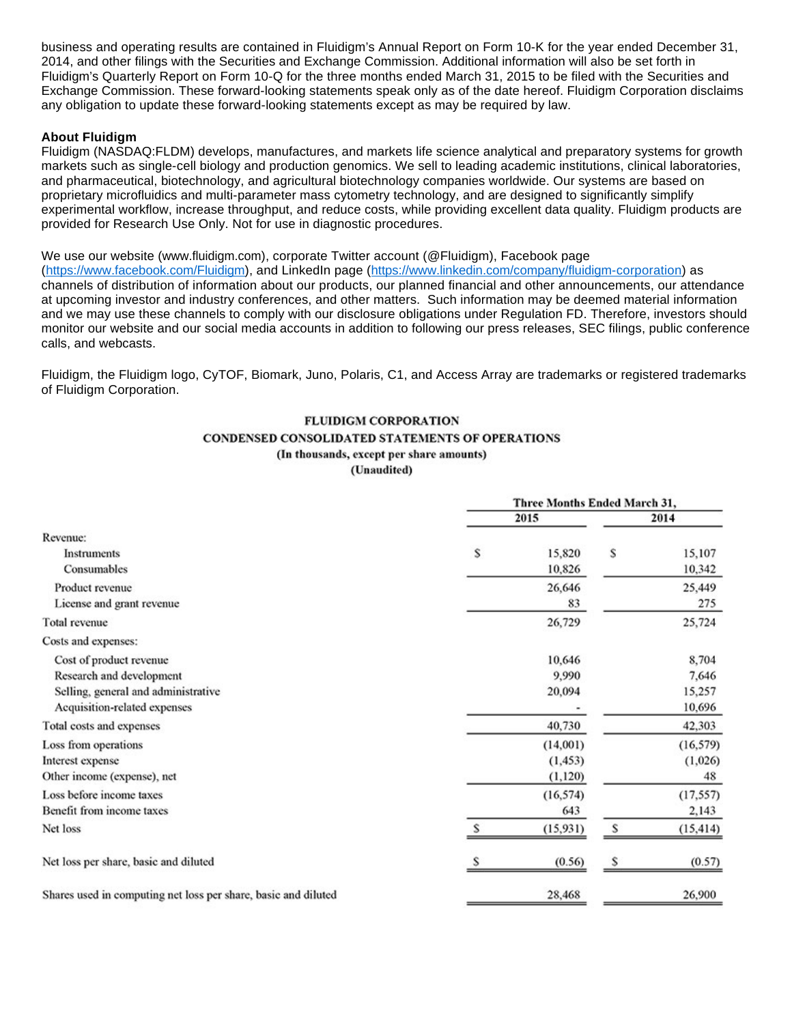business and operating results are contained in Fluidigm's Annual Report on Form 10-K for the year ended December 31, 2014, and other filings with the Securities and Exchange Commission. Additional information will also be set forth in Fluidigm's Quarterly Report on Form 10-Q for the three months ended March 31, 2015 to be filed with the Securities and Exchange Commission. These forward-looking statements speak only as of the date hereof. Fluidigm Corporation disclaims any obligation to update these forward-looking statements except as may be required by law.

### **About Fluidigm**

Fluidigm (NASDAQ:FLDM) develops, manufactures, and markets life science analytical and preparatory systems for growth markets such as single-cell biology and production genomics. We sell to leading academic institutions, clinical laboratories, and pharmaceutical, biotechnology, and agricultural biotechnology companies worldwide. Our systems are based on proprietary microfluidics and multi-parameter mass cytometry technology, and are designed to significantly simplify experimental workflow, increase throughput, and reduce costs, while providing excellent data quality. Fluidigm products are provided for Research Use Only. Not for use in diagnostic procedures.

### We use our website (www.fluidigm.com), corporate Twitter account (@Fluidigm), Facebook page

(<https://www.facebook.com/Fluidigm>), and LinkedIn page (<https://www.linkedin.com/company/fluidigm-corporation>) as channels of distribution of information about our products, our planned financial and other announcements, our attendance at upcoming investor and industry conferences, and other matters. Such information may be deemed material information and we may use these channels to comply with our disclosure obligations under Regulation FD. Therefore, investors should monitor our website and our social media accounts in addition to following our press releases, SEC filings, public conference calls, and webcasts.

Fluidigm, the Fluidigm logo, CyTOF, Biomark, Juno, Polaris, C1, and Access Array are trademarks or registered trademarks of Fluidigm Corporation.

## **FLUIDIGM CORPORATION CONDENSED CONSOLIDATED STATEMENTS OF OPERATIONS** (In thousands, except per share amounts)

(Unaudited)

|                                                                |        | Three Months Ended March 31, |        |           |
|----------------------------------------------------------------|--------|------------------------------|--------|-----------|
|                                                                |        | 2015                         |        | 2014      |
| Revenue:                                                       |        |                              |        |           |
| Instruments                                                    | Ŝ      | 15,820                       | S      | 15,107    |
| Consumables                                                    |        | 10,826                       |        | 10,342    |
| Product revenue                                                |        | 26,646                       |        | 25,449    |
| License and grant revenue                                      |        | 83                           |        | 275       |
| <b>Total revenue</b>                                           |        | 26,729                       |        | 25,724    |
| Costs and expenses:                                            |        |                              |        |           |
| Cost of product revenue                                        |        | 10,646                       |        | 8,704     |
| Research and development                                       | 9,990  |                              |        | 7,646     |
| Selling, general and administrative                            | 20,094 |                              | 15,257 |           |
| Acquisition-related expenses                                   |        |                              |        | 10,696    |
| Total costs and expenses                                       |        | 40,730                       |        | 42,303    |
| Loss from operations                                           |        | (14,001)                     |        | (16, 579) |
| Interest expense                                               |        | (1, 453)                     |        | (1,026)   |
| Other income (expense), net                                    |        | (1,120)                      |        | 48        |
| Loss before income taxes                                       |        | (16, 574)                    |        | (17, 557) |
| Benefit from income taxes                                      |        | 643                          |        | 2,143     |
| Net loss                                                       | Ś      | (15, 931)                    | S      | (15, 414) |
| Net loss per share, basic and diluted                          |        | (0.56)                       | s      | (0.57)    |
| Shares used in computing net loss per share, basic and diluted |        | 28,468                       |        | 26,900    |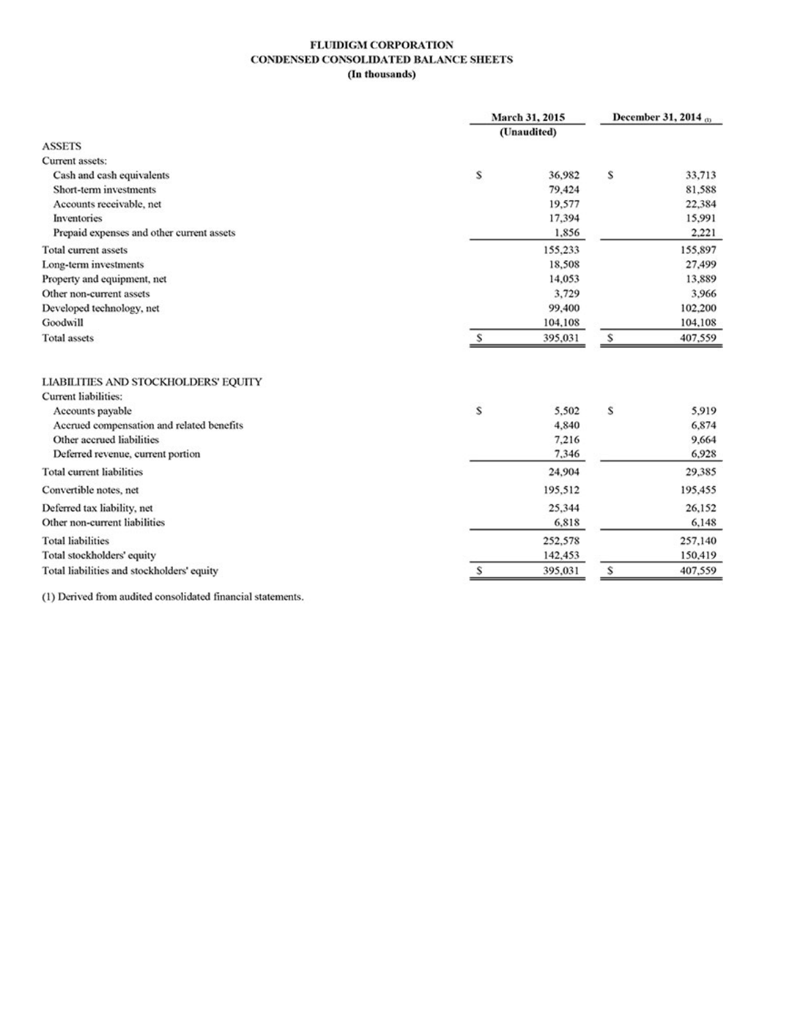#### **FLUIDIGM CORPORATION** CONDENSED CONSOLIDATED BALANCE SHEETS (In thousands)

|                                            | March 31, 2015 |             | December 31, 2014 @ |         |
|--------------------------------------------|----------------|-------------|---------------------|---------|
|                                            |                | (Unaudited) |                     |         |
| <b>ASSETS</b>                              |                |             |                     |         |
| Current assets:                            |                |             |                     |         |
| Cash and cash equivalents                  | s              | 36,982      | s                   | 33,713  |
| Short-term investments                     |                | 79,424      |                     | 81,588  |
| Accounts receivable, net                   |                | 19,577      |                     | 22,384  |
| Inventories                                |                | 17,394      |                     | 15,991  |
| Prepaid expenses and other current assets  |                | 1,856       |                     | 2,221   |
| <b>Total current assets</b>                |                | 155,233     |                     | 155,897 |
| Long-term investments                      |                | 18,508      |                     | 27,499  |
| Property and equipment, net                |                | 14,053      |                     | 13,889  |
| Other non-current assets                   |                | 3,729       |                     | 3,966   |
| Developed technology, net                  |                | 99,400      |                     | 102,200 |
| Goodwill                                   |                | 104,108     |                     | 104,108 |
| <b>Total assets</b>                        | s              | 395,031     | s                   | 407,559 |
| LIABILITIES AND STOCKHOLDERS' EQUITY       |                |             |                     |         |
| <b>Current liabilities:</b>                |                |             |                     |         |
| Accounts payable                           | S              | 5,502       | S                   | 5,919   |
| Accrued compensation and related benefits  |                | 4,840       |                     | 6,874   |
| Other accrued liabilities                  |                | 7,216       |                     | 9,664   |
| Deferred revenue, current portion          |                | 7,346       |                     | 6,928   |
| Total current liabilities                  |                | 24,904      |                     | 29,385  |
| Convertible notes, net                     |                | 195,512     |                     | 195,455 |
| Deferred tax liability, net                |                | 25,344      |                     | 26,152  |
| Other non-current liabilities              |                | 6,818       |                     | 6,148   |
| <b>Total liabilities</b>                   |                | 252,578     |                     | 257,140 |
| Total stockholders' equity                 |                | 142,453     |                     | 150,419 |
| Total liabilities and stockholders' equity | s              | 395,031     | \$                  | 407,559 |

(1) Derived from audited consolidated financial statements.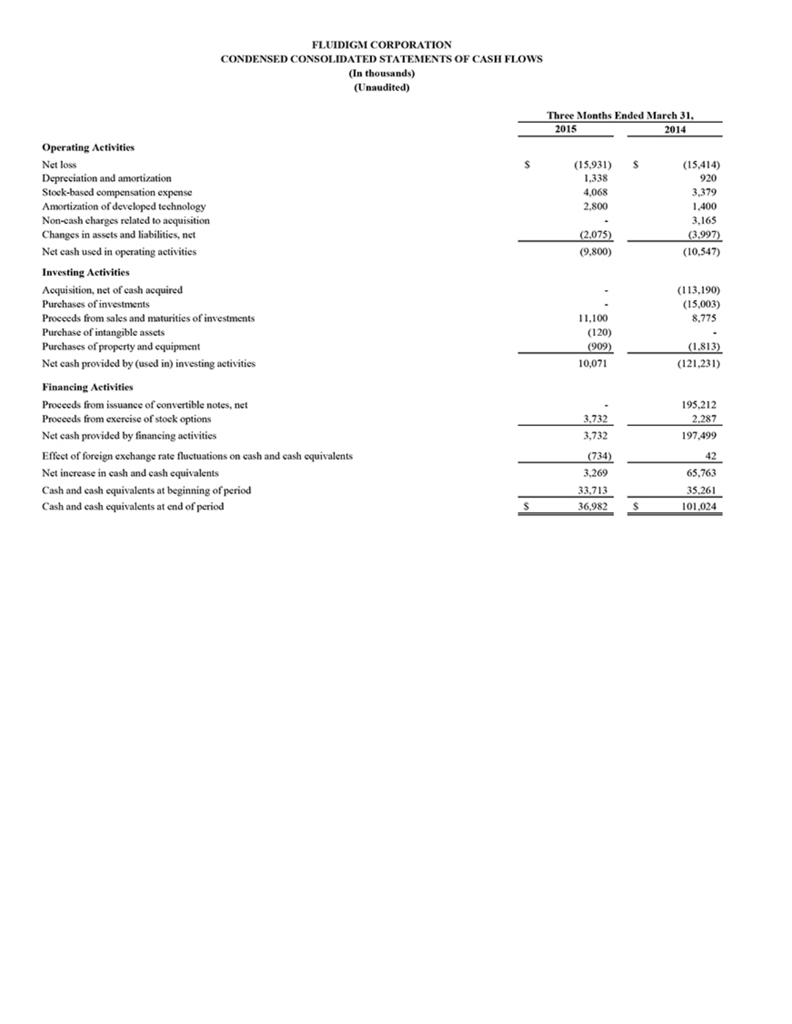### FLUIDIGM CORPORATION CONDENSED CONSOLIDATED STATEMENTS OF CASH FLOWS (In thousands)

### (Unaudited)

|                                                                           |    | Three Months Ended March 31, |    |            |
|---------------------------------------------------------------------------|----|------------------------------|----|------------|
|                                                                           |    | 2015                         |    | 2014       |
| <b>Operating Activities</b>                                               |    |                              |    |            |
| Net loss                                                                  | \$ | (15.931)                     | \$ | (15, 414)  |
| Depreciation and amortization                                             |    | 1,338                        |    | 920        |
| Stock-based compensation expense                                          |    | 4,068                        |    | 3.379      |
| Amortization of developed technology                                      |    | 2,800                        |    | 1,400      |
| Non-eash charges related to acquisition                                   |    |                              |    | 3,165      |
| Changes in assets and liabilities, net                                    |    | (2,075)                      |    | (3,997)    |
| Net eash used in operating activities                                     |    | (9,800)                      |    | (10, 547)  |
| <b>Investing Activities</b>                                               |    |                              |    |            |
| Acquisition, net of cash acquired                                         |    |                              |    | (113, 190) |
| Purchases of investments                                                  |    |                              |    | (15,003)   |
| Proceeds from sales and maturities of investments                         |    | 11,100                       |    | 8,775      |
| Purchase of intangible assets                                             |    | (120)                        |    |            |
| Purchases of property and equipment                                       |    | (909)                        |    | (1, 813)   |
| Net eash provided by (used in) investing activities                       |    | 10,071                       |    | (121, 231) |
| <b>Financing Activities</b>                                               |    |                              |    |            |
| Proceeds from issuance of convertible notes, net                          |    |                              |    | 195,212    |
| Proceeds from exercise of stock options                                   |    | 3,732                        |    | 2,287      |
| Net eash provided by financing activities                                 |    | 3,732                        |    | 197,499    |
| Effect of foreign exchange rate fluctuations on eash and eash equivalents |    | (734)                        |    | 42         |
| Net increase in cash and cash equivalents                                 |    | 3,269                        |    | 65,763     |
| Cash and cash equivalents at beginning of period                          |    | 33,713                       |    | 35,261     |
| Cash and eash equivalents at end of period                                | s  | 36,982                       | s  | 101,024    |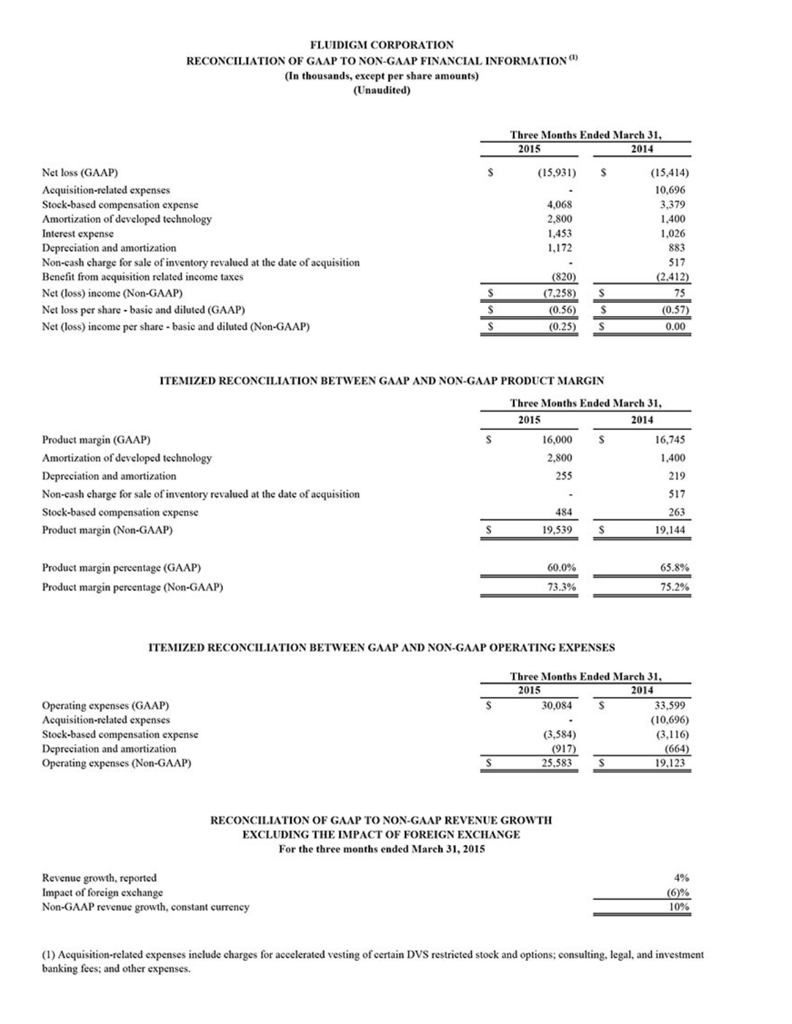### **FLUIDIGM CORPORATION** RECONCILIATION OF GAAP TO NON-GAAP FINANCIAL INFORMATION  $^{\text{(I)}}$ (In thousands, except per share amounts)

(Unaudited)

|                                                                           | <b>Three Months Ended March 31,</b> |          |   |           |
|---------------------------------------------------------------------------|-------------------------------------|----------|---|-----------|
|                                                                           |                                     | 2015     |   | 2014      |
| Net loss (GAAP)                                                           | s                                   | (15,931) | s | (15, 414) |
| Acquisition-related expenses                                              |                                     |          |   | 10.696    |
| Stock-based compensation expense                                          |                                     | 4.068    |   | 3,379     |
| Amortization of developed technology                                      |                                     | 2,800    |   | 1.400     |
| Interest expense                                                          |                                     | 1,453    |   | 1.026     |
| Depreciation and amortization                                             |                                     | 1,172    |   | 883       |
| Non-cash charge for sale of inventory revalued at the date of acquisition |                                     |          |   | 517       |
| Benefit from acquisition related income taxes                             |                                     | (820)    |   | (2, 412)  |
| Net (loss) income (Non-GAAP)                                              |                                     | (7,258)  |   | 75        |
| Net loss per share - basic and diluted (GAAP)                             |                                     | (0.56)   |   | (0.57)    |
| Net (loss) income per share - basic and diluted (Non-GAAP)                |                                     | (0.25)   |   | 0.00      |

### ITEMIZED RECONCILIATION BETWEEN GAAP AND NON-GAAP PRODUCT MARGIN

|                                                                           | Three Months Ended March 31, |        |   |        |
|---------------------------------------------------------------------------|------------------------------|--------|---|--------|
|                                                                           |                              | 2015   |   | 2014   |
| Product margin (GAAP)                                                     | s                            | 16,000 | s | 16,745 |
| Amortization of developed technology                                      |                              | 2,800  |   | 1,400  |
| Depreciation and amortization                                             |                              | 255    |   | 219    |
| Non-cash charge for sale of inventory revalued at the date of acquisition |                              | ۰      |   | 517    |
| Stock-based compensation expense                                          |                              | 484    |   | 263    |
| Product margin (Non-GAAP)                                                 |                              | 19.539 |   | 19.144 |
| Product margin percentage (GAAP)                                          |                              | 60.0%  |   | 65.8%  |
| Product margin percentage (Non-GAAP)                                      |                              | 73.3%  |   | 75.2%  |

#### ITEMIZED RECONCILIATION BETWEEN GAAP AND NON-GAAP OPERATING EXPENSES

|                                  | Three Months Ended March 31, |          |  |          |
|----------------------------------|------------------------------|----------|--|----------|
|                                  |                              | 2015     |  | 2014     |
| Operating expenses (GAAP)        |                              | 30,084   |  | 33,599   |
| Acquisition-related expenses     |                              | ۰        |  | (10,696) |
| Stock-based compensation expense |                              | (3, 584) |  | (3,116)  |
| Depreciation and amortization    |                              | (917)    |  | (664)    |
| Operating expenses (Non-GAAP)    |                              | 25,583   |  | 19,123   |

#### RECONCILIATION OF GAAP TO NON-GAAP REVENUE GROWTH EXCLUDING THE IMPACT OF FOREIGN EXCHANGE For the three months ended March 31, 2015

| Revenue growth, reported                   | $4\%$   |
|--------------------------------------------|---------|
| Impact of foreign exchange                 | $(6)\%$ |
| Non-GAAP revenue growth, constant currency | 10%     |

(1) Acquisition-related expenses include charges for accelerated vesting of certain DVS restricted stock and options; consulting, legal, and investment banking fees; and other expenses.